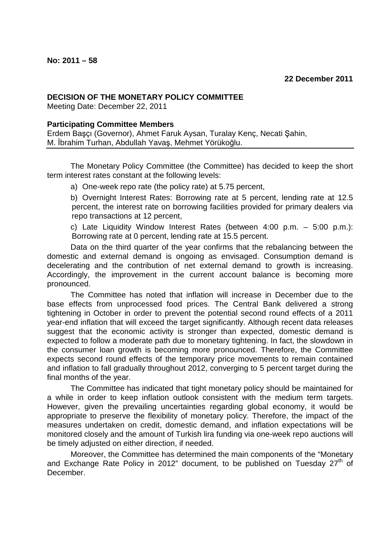## **DECISION OF THE MONETARY POLICY COMMITTEE**

Meeting Date: December 22, 2011

## **Participating Committee Members**

Erdem Başçı (Governor), Ahmet Faruk Aysan, Turalay Kenç, Necati Şahin, M. İbrahim Turhan, Abdullah Yavaş, Mehmet Yörükoğlu.

The Monetary Policy Committee (the Committee) has decided to keep the short term interest rates constant at the following levels:

a) One-week repo rate (the policy rate) at 5.75 percent,

b) Overnight Interest Rates: Borrowing rate at 5 percent, lending rate at 12.5 percent, the interest rate on borrowing facilities provided for primary dealers via repo transactions at 12 percent,

c) Late Liquidity Window Interest Rates (between 4:00 p.m. – 5:00 p.m.): Borrowing rate at 0 percent, lending rate at 15.5 percent.

Data on the third quarter of the year confirms that the rebalancing between the domestic and external demand is ongoing as envisaged. Consumption demand is decelerating and the contribution of net external demand to growth is increasing. Accordingly, the improvement in the current account balance is becoming more pronounced.

The Committee has noted that inflation will increase in December due to the base effects from unprocessed food prices. The Central Bank delivered a strong tightening in October in order to prevent the potential second round effects of a 2011 year-end inflation that will exceed the target significantly. Although recent data releases suggest that the economic activity is stronger than expected, domestic demand is expected to follow a moderate path due to monetary tightening. In fact, the slowdown in the consumer loan growth is becoming more pronounced. Therefore, the Committee expects second round effects of the temporary price movements to remain contained and inflation to fall gradually throughout 2012, converging to 5 percent target during the final months of the year.

The Committee has indicated that tight monetary policy should be maintained for a while in order to keep inflation outlook consistent with the medium term targets. However, given the prevailing uncertainties regarding global economy, it would be appropriate to preserve the flexibility of monetary policy. Therefore, the impact of the measures undertaken on credit, domestic demand, and inflation expectations will be monitored closely and the amount of Turkish lira funding via one-week repo auctions will be timely adjusted on either direction, if needed.

Moreover, the Committee has determined the main components of the "Monetary and Exchange Rate Policy in 2012" document, to be published on Tuesday  $27<sup>th</sup>$  of December.